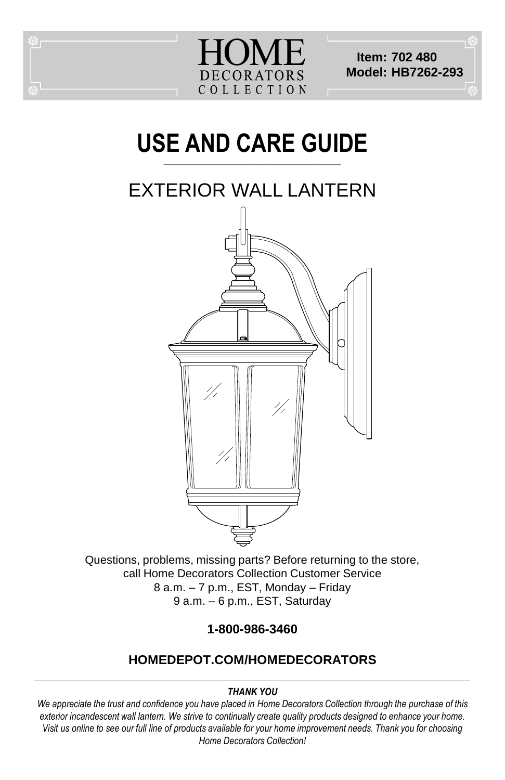

**Item: 702 480 Model: HB7262-293**

#### **USE AND CARE GUIDE \_\_\_\_\_\_\_\_\_\_\_\_\_\_\_\_\_\_\_\_\_\_\_\_\_\_\_\_\_\_\_\_\_\_\_\_**

# EXTERIOR WALL LANTERN



Questions, problems, missing parts? Before returning to the store, call Home Decorators Collection Customer Service 8 a.m. – 7 p.m., EST, Monday – Friday 9 a.m. – 6 p.m., EST, Saturday

**1-800-986-3460**

#### **HOMEDEPOT.COM/HOMEDECORATORS**

#### *THANK YOU*

*We appreciate the trust and confidence you have placed in Home Decorators Collection through the purchase of this exterior incandescent wall lantern. We strive to continually create quality products designed to enhance your home. Visit us online to see our full line of products available for your home improvement needs. Thank you for choosing Home Decorators Collection!*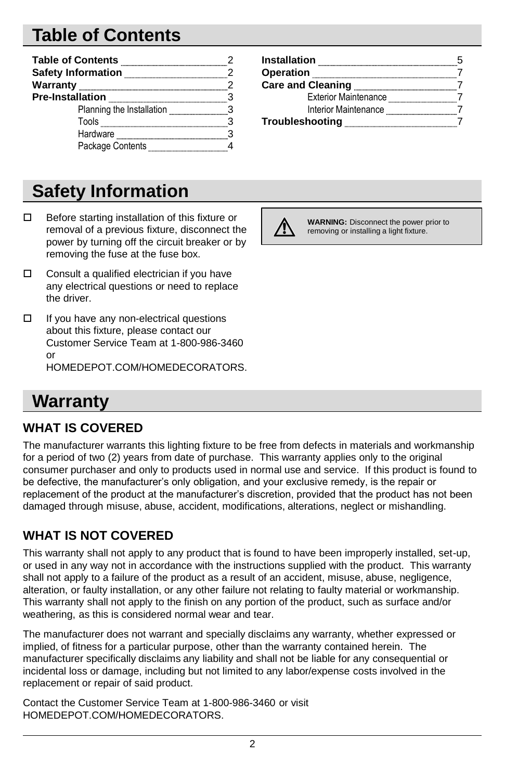# **Table of Contents**

| <b>Table of Contents</b>  |  |
|---------------------------|--|
| <b>Safety Information</b> |  |
| Warranty                  |  |
| <b>Pre-Installation</b>   |  |
| Planning the Installation |  |
| Tools                     |  |
| Hardware                  |  |
| Package Contents          |  |

#### **Safety Information**

- $\Box$  Before starting installation of this fixture or removal of a previous fixture, disconnect the power by turning off the circuit breaker or by removing the fuse at the fuse box.
- $\Box$  Consult a qualified electrician if you have any electrical questions or need to replace the driver.
- $\Box$  If you have any non-electrical questions about this fixture, please contact our Customer Service Team at 1-800-986-3460 or

HOMEDEPOT.COM/HOMEDECORATORS.

#### **Warranty**

#### **WHAT IS COVERED**

The manufacturer warrants this lighting fixture to be free from defects in materials and workmanship for a period of two (2) years from date of purchase. This warranty applies only to the original consumer purchaser and only to products used in normal use and service. If this product is found to be defective, the manufacturer's only obligation, and your exclusive remedy, is the repair or replacement of the product at the manufacturer's discretion, provided that the product has not been damaged through misuse, abuse, accident, modifications, alterations, neglect or mishandling.

#### **WHAT IS NOT COVERED**

This warranty shall not apply to any product that is found to have been improperly installed, set-up, or used in any way not in accordance with the instructions supplied with the product. This warranty shall not apply to a failure of the product as a result of an accident, misuse, abuse, negligence, alteration, or faulty installation, or any other failure not relating to faulty material or workmanship. This warranty shall not apply to the finish on any portion of the product, such as surface and/or weathering, as this is considered normal wear and tear.

The manufacturer does not warrant and specially disclaims any warranty, whether expressed or implied, of fitness for a particular purpose, other than the warranty contained herein. The manufacturer specifically disclaims any liability and shall not be liable for any consequential or incidental loss or damage, including but not limited to any labor/expense costs involved in the replacement or repair of said product.

Contact the Customer Service Team at 1-800-986-3460 or visit HOMEDEPOT.COM/HOMEDECORATORS.

| <b>Installation</b>         |  |
|-----------------------------|--|
| Operation                   |  |
| <b>Care and Cleaning</b>    |  |
| <b>Exterior Maintenance</b> |  |
| Interior Maintenance        |  |
| Troubleshooting             |  |



**WARNING:** Disconnect the power prior to removing or installing a light fixture.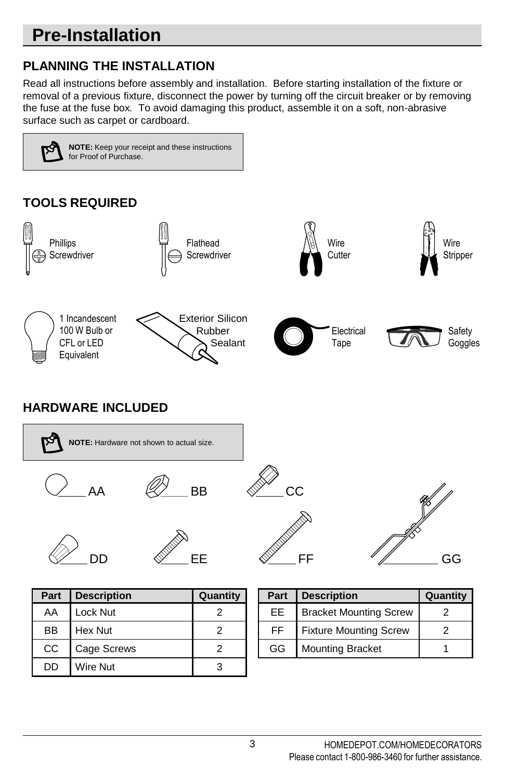# **Pre-Installation**

#### **PLANNING THE INSTALLATION**

Read all instructions before assembly and installation. Before starting installation of the fixture or removal of a previous fixture, disconnect the power by turning off the circuit breaker or by removing the fuse at the fuse box. To avoid damaging this product, assemble it on a soft, non-abrasive surface such as carpet or cardboard.

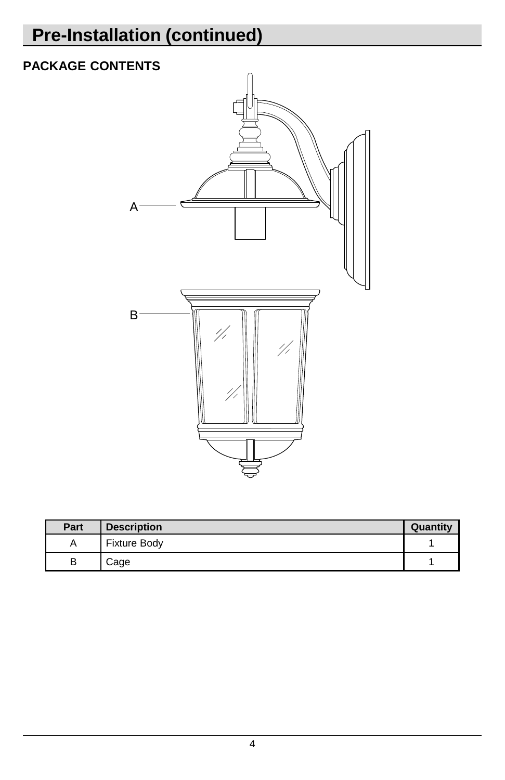# **Pre-Installation (continued)**

#### **PACKAGE CONTENTS**



| Part | <b>Description</b>  | Quantity |
|------|---------------------|----------|
|      | <b>Fixture Body</b> |          |
|      | Cage                |          |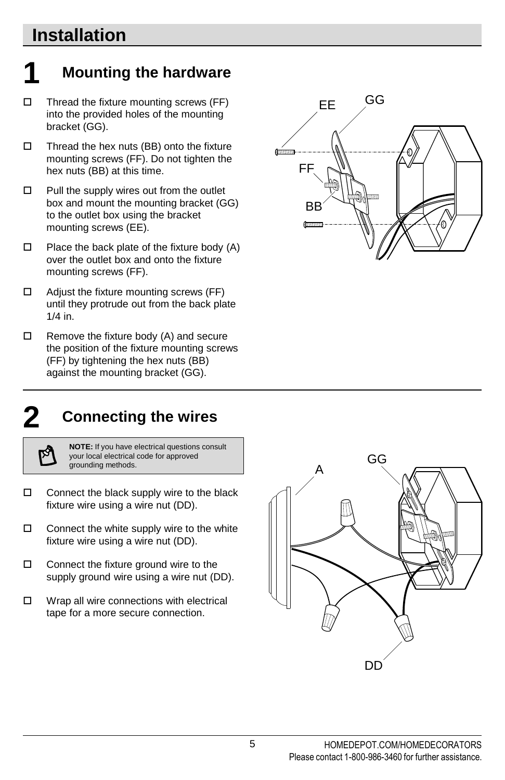#### **Installation**

#### **1 Mounting the hardware**

- $\Box$  Thread the fixture mounting screws (FF) into the provided holes of the mounting bracket (GG).
- $\Box$  Thread the hex nuts (BB) onto the fixture mounting screws (FF). Do not tighten the hex nuts (BB) at this time.
- $\Box$  Pull the supply wires out from the outlet box and mount the mounting bracket (GG) to the outlet box using the bracket mounting screws (EE).
- $\Box$  Place the back plate of the fixture body (A) over the outlet box and onto the fixture mounting screws (FF).
- $\Box$  Adjust the fixture mounting screws (FF) until they protrude out from the back plate 1/4 in.
- $\Box$  Remove the fixture body (A) and secure the position of the fixture mounting screws (FF) by tightening the hex nuts (BB) against the mounting bracket (GG).



**2 Connecting the wires**

**NOTE:** If you have electrical questions consult your local electrical code for approved grounding methods.

- $\square$  Connect the black supply wire to the black fixture wire using a wire nut (DD).
- $\Box$  Connect the white supply wire to the white fixture wire using a wire nut (DD).
- $\Box$  Connect the fixture ground wire to the supply ground wire using a wire nut (DD).
- $\Box$  Wrap all wire connections with electrical tape for a more secure connection.

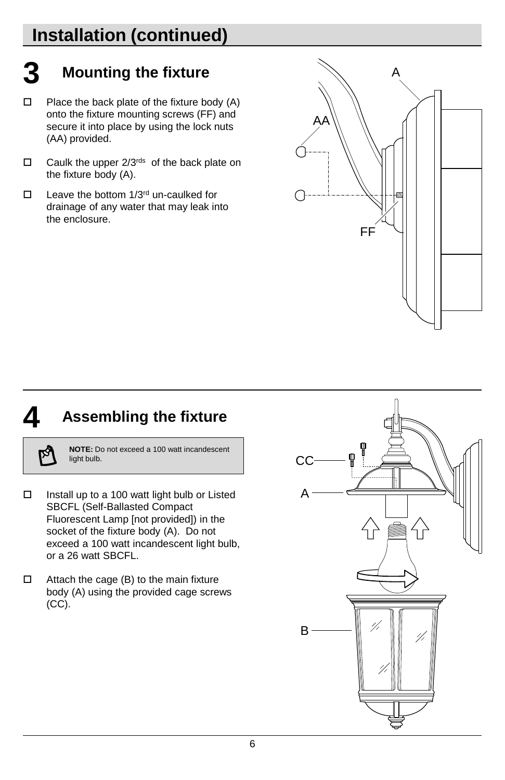# **Installation (continued)**

# **3 Mounting the fixture**

- $\Box$  Place the back plate of the fixture body (A) onto the fixture mounting screws (FF) and secure it into place by using the lock nuts (AA) provided.
- $\Box$  Caulk the upper 2/3<sup>rds</sup> of the back plate on the fixture body (A).
- $\Box$  Leave the bottom 1/3<sup>rd</sup> un-caulked for drainage of any water that may leak into the enclosure.



## **4 Assembling the fixture**

**NOTE:** Do not exceed a 100 watt incandescent light bulb.

- $\Box$  Install up to a 100 watt light bulb or Listed SBCFL (Self-Ballasted Compact Fluorescent Lamp [not provided]) in the socket of the fixture body (A). Do not exceed a 100 watt incandescent light bulb, or a 26 watt SBCFL.
- $\Box$  Attach the cage (B) to the main fixture body (A) using the provided cage screws (CC).

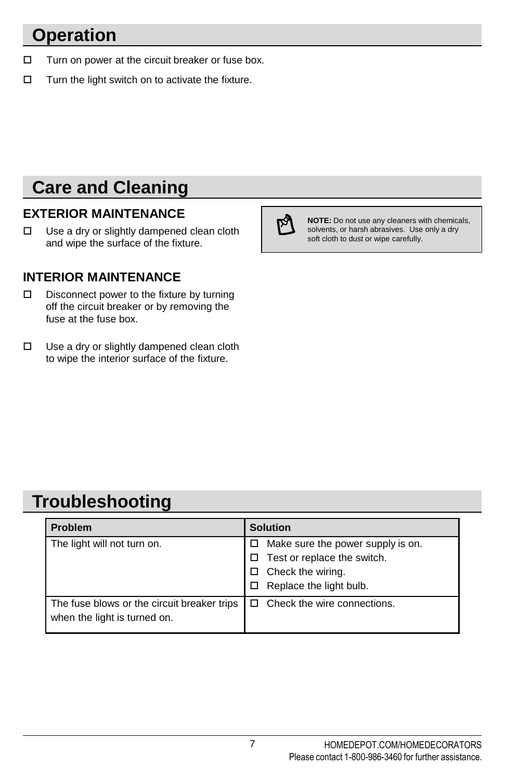#### **Operation**

- $\Box$  Turn on power at the circuit breaker or fuse box.
- $\Box$  Turn the light switch on to activate the fixture.

#### **Care and Cleaning**

#### **EXTERIOR MAINTENANCE**

 $\Box$  Use a dry or slightly dampened clean cloth and wipe the surface of the fixture.

#### **INTERIOR MAINTENANCE**

- D Disconnect power to the fixture by turning off the circuit breaker or by removing the fuse at the fuse box.
- $\Box$  Use a dry or slightly dampened clean cloth to wipe the interior surface of the fixture.



**NOTE:** Do not use any cleaners with chemicals, solvents, or harsh abrasives. Use only a dry soft cloth to dust or wipe carefully.

#### **Troubleshooting**

| <b>Problem</b>                              | <b>Solution</b>                         |
|---------------------------------------------|-----------------------------------------|
| The light will not turn on.                 | Make sure the power supply is on.<br>□. |
|                                             | $\Box$ Test or replace the switch.      |
|                                             | Check the wiring.                       |
|                                             | Replace the light bulb.                 |
| The fuse blows or the circuit breaker trips | $\Box$ Check the wire connections.      |
| when the light is turned on.                |                                         |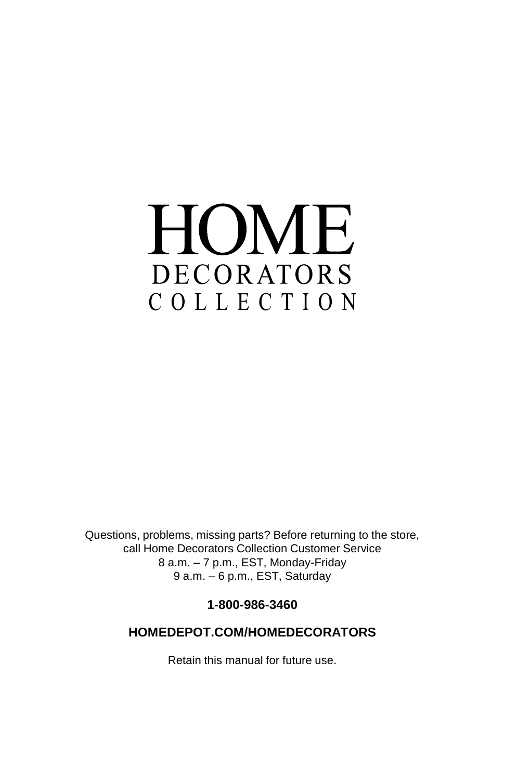# HOME DECORATORS COLLECTION

Questions, problems, missing parts? Before returning to the store, call Home Decorators Collection Customer Service 8 a.m. – 7 p.m., EST, Monday-Friday 9 a.m. – 6 p.m., EST, Saturday

**1-800-986-3460**

#### **HOMEDEPOT.COM/HOMEDECORATORS**

Retain this manual for future use.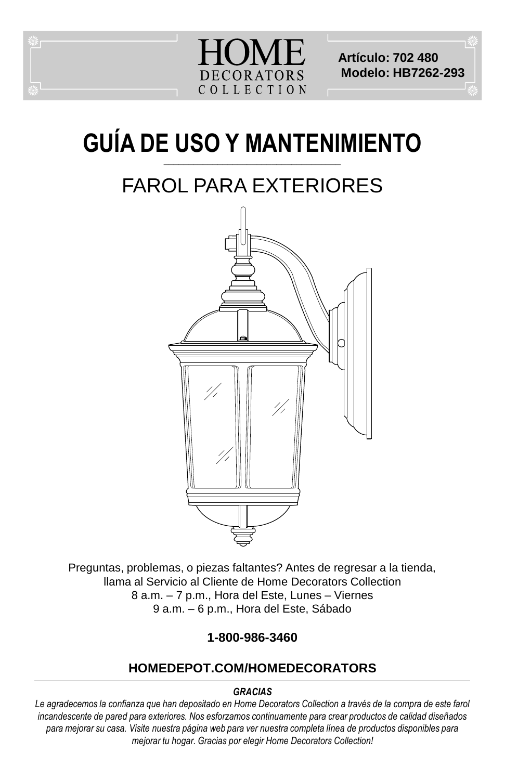

**Artículo: 702 480 Modelo: HB7262-293**

#### **GUÍA DE USO Y MANTENIMIENTO \_\_\_\_\_\_\_\_\_\_\_\_\_\_\_\_\_\_\_\_\_\_\_\_\_\_\_\_\_\_\_\_\_\_\_\_**

# FAROL PARA EXTERIORES



Preguntas, problemas, o piezas faltantes? Antes de regresar a la tienda, llama al Servicio al Cliente de Home Decorators Collection 8 a.m. – 7 p.m., Hora del Este, Lunes – Viernes 9 a.m. – 6 p.m., Hora del Este, Sábado

#### **1-800-986-3460**

#### **HOMEDEPOT.COM/HOMEDECORATORS**

#### *GRACIAS*

*Le agradecemos la confianza que han depositado en Home Decorators Collection a través de la compra de este farol incandescente de pared para exteriores. Nos esforzamos continuamente para crear productos de calidad diseñados para mejorar su casa. Visite nuestra página web para ver nuestra completa línea de productos disponibles para mejorar tu hogar. Gracias por elegir Home Decorators Collection!*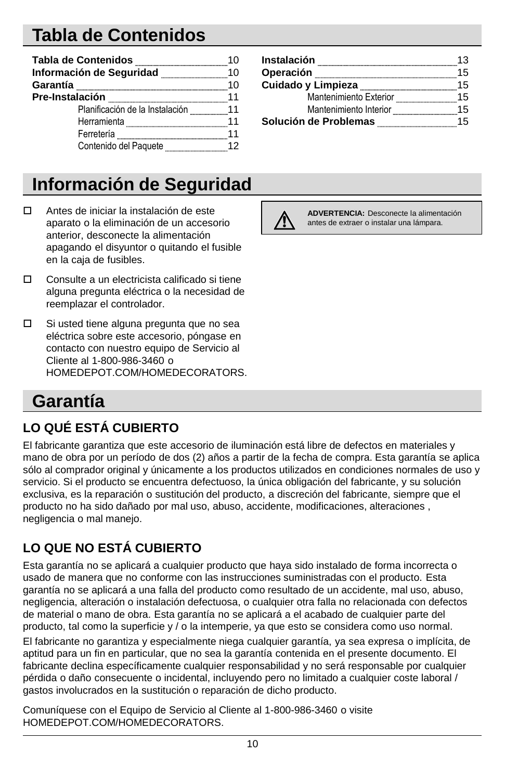# **Tabla de Contenidos**

| Tabla de Contenidos             |    |
|---------------------------------|----|
| Información de Seguridad        | 10 |
| Garantía                        | 10 |
| Pre-Instalación                 | 11 |
| Planificación de la Instalación | 11 |
| Herramienta                     |    |
| Ferretería                      |    |
| Contenido del Paquete           |    |

#### **Información de Seguridad**

- Antes de iniciar la instalación de este aparato o la eliminación de un accesorio anterior, desconecte la alimentación apagando el disyuntor o quitando el fusible en la caja de fusibles.
- Consulte a un electricista calificado si tiene alguna pregunta eléctrica o la necesidad de reemplazar el controlador.
- $\square$  Si usted tiene alguna pregunta que no sea eléctrica sobre este accesorio, póngase en contacto con nuestro equipo de Servicio al Cliente al 1-800-986-3460 o HOMEDEPOT.COM/HOMEDECORATORS.

| Instalación            | 13 |
|------------------------|----|
| Operación              | 15 |
| Cuidado y Limpieza     | 15 |
| Mantenimiento Exterior | 15 |
| Mantenimiento Interior | 15 |
| Solución de Problemas  | 15 |



**ADVERTENCIA:** Desconecte la alimentación antes de extraer o instalar una lámpara.

#### **Garantía**

#### **LO QUÉ ESTÁ CUBIERTO**

El fabricante garantiza que este accesorio de iluminación está libre de defectos en materiales y mano de obra por un período de dos (2) años a partir de la fecha de compra. Esta garantía se aplica sólo al comprador original y únicamente a los productos utilizados en condiciones normales de uso y servicio. Si el producto se encuentra defectuoso, la única obligación del fabricante, y su solución exclusiva, es la reparación o sustitución del producto, a discreción del fabricante, siempre que el producto no ha sido dañado por mal uso, abuso, accidente, modificaciones, alteraciones , negligencia o mal manejo.

#### **LO QUE NO ESTÁ CUBIERTO**

Esta garantía no se aplicará a cualquier producto que haya sido instalado de forma incorrecta o usado de manera que no conforme con las instrucciones suministradas con el producto. Esta garantía no se aplicará a una falla del producto como resultado de un accidente, mal uso, abuso, negligencia, alteración o instalación defectuosa, o cualquier otra falla no relacionada con defectos de material o mano de obra. Esta garantía no se aplicará a el acabado de cualquier parte del producto, tal como la superficie y / o la intemperie, ya que esto se considera como uso normal.

El fabricante no garantiza y especialmente niega cualquier garantía, ya sea expresa o implícita, de aptitud para un fin en particular, que no sea la garantía contenida en el presente documento. El fabricante declina específicamente cualquier responsabilidad y no será responsable por cualquier pérdida o daño consecuente o incidental, incluyendo pero no limitado a cualquier coste laboral / gastos involucrados en la sustitución o reparación de dicho producto.

Comuníquese con el Equipo de Servicio al Cliente al 1-800-986-3460 o visite HOMEDEPOT.COM/HOMEDECORATORS.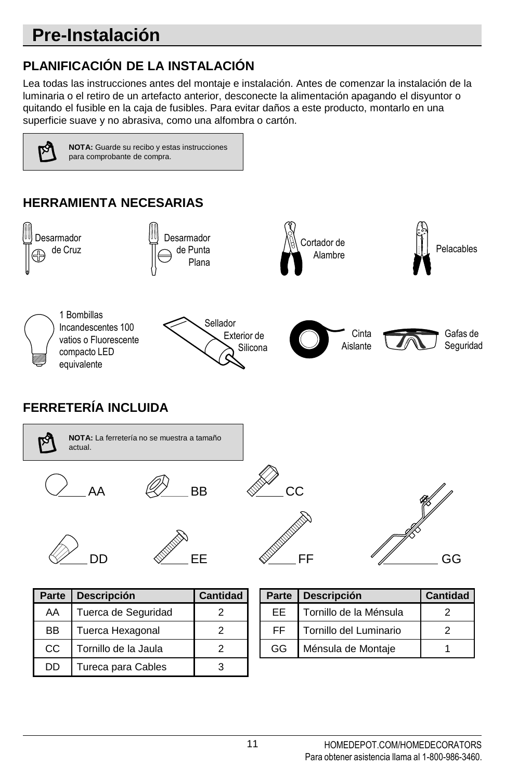# **Pre-Instalación**

#### **PLANIFICACIÓN DE LA INSTALACIÓN**

Lea todas las instrucciones antes del montaje e instalación. Antes de comenzar la instalación de la luminaria o el retiro de un artefacto anterior, desconecte la alimentación apagando el disyuntor o quitando el fusible en la caja de fusibles. Para evitar daños a este producto, montarlo en una superficie suave y no abrasiva, como una alfombra o cartón.

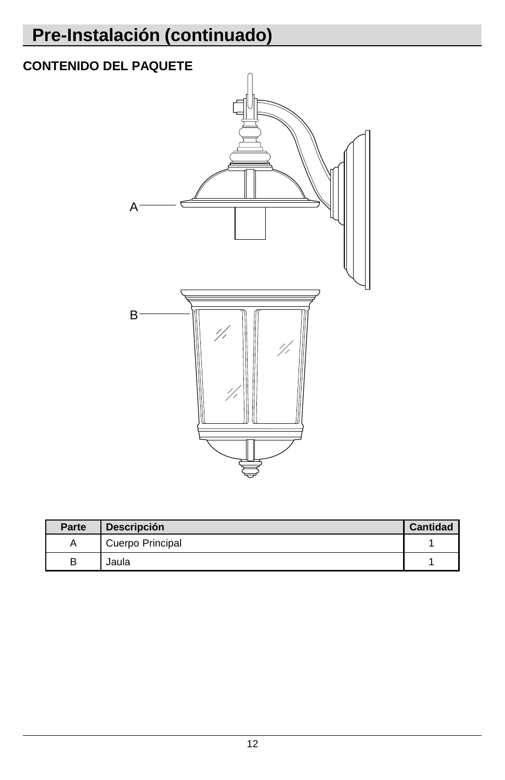# **Pre-Instalación (continuado)**

# **CONTENIDO DEL PAQUETE** A B4  $^{\prime\prime}$

| Parte | <b>Descripción</b> | <b>Cantidad</b> |
|-------|--------------------|-----------------|
|       | Cuerpo Principal   |                 |
|       | Jaula              |                 |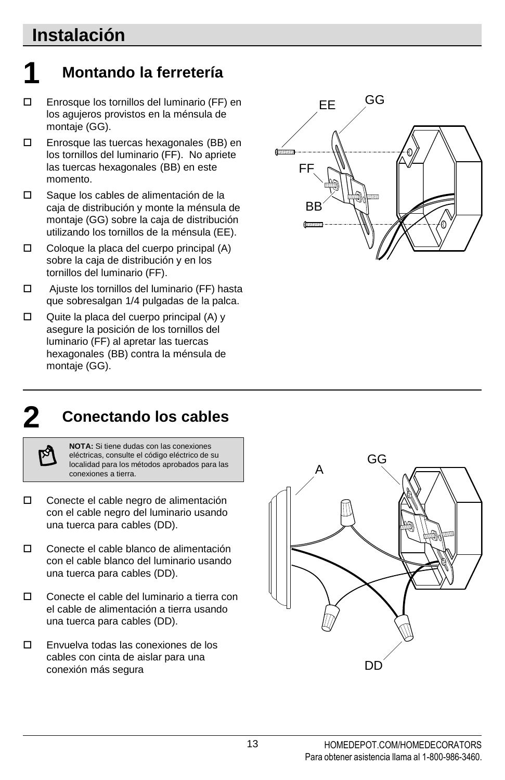#### **Instalación**

# **1 Montando la ferretería**

- Enrosque los tornillos del luminario (FF) en los agujeros provistos en la ménsula de montaje (GG).
- Enrosque las tuercas hexagonales (BB) en los tornillos del luminario (FF). No apriete las tuercas hexagonales (BB) en este momento.
- Saque los cables de alimentación de la caja de distribución y monte la ménsula de montaje (GG) sobre la caja de distribución utilizando los tornillos de la ménsula (EE).
- $\Box$  Coloque la placa del cuerpo principal (A) sobre la caja de distribución y en los tornillos del luminario (FF).
- Ajuste los tornillos del luminario (FF) hasta que sobresalgan 1/4 pulgadas de la palca.
- $\Box$  Quite la placa del cuerpo principal (A) y asegure la posición de los tornillos del luminario (FF) al apretar las tuercas hexagonales (BB) contra la ménsula de montaje (GG).



#### **2 Conectando los cables**

**NOTA:** Si tiene dudas con las conexiones eléctricas, consulte el código eléctrico de su localidad para los métodos aprobados para las conexiones a tierra.

- Conecte el cable negro de alimentación con el cable negro del luminario usando una tuerca para cables (DD).
- Conecte el cable blanco de alimentación con el cable blanco del luminario usando una tuerca para cables (DD).
- Conecte el cable del luminario a tierra con el cable de alimentación a tierra usando una tuerca para cables (DD).
- Envuelva todas las conexiones de los cables con cinta de aislar para una conexión más segura

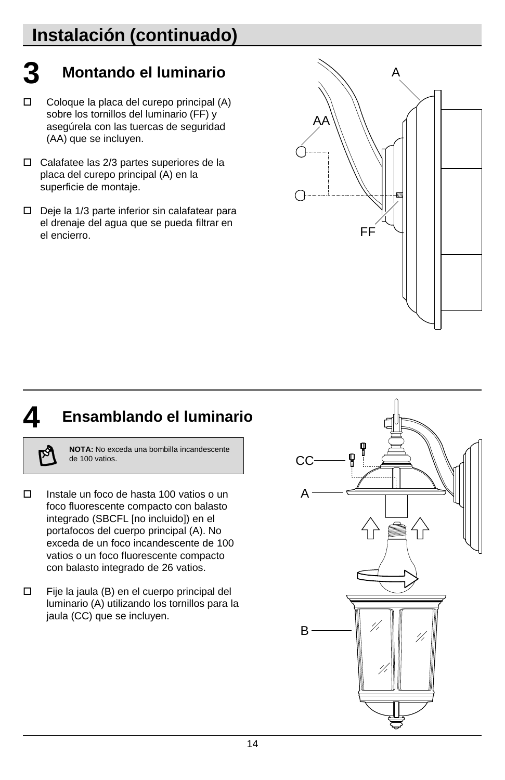# **Instalación (continuado)**

# **3 Montando el luminario**

- $\Box$  Coloque la placa del curepo principal (A) sobre los tornillos del luminario (FF) y asegúrela con las tuercas de seguridad (AA) que se incluyen.
- Calafatee las 2/3 partes superiores de la placa del curepo principal (A) en la superficie de montaje.
- $\square$  Deje la 1/3 parte inferior sin calafatear para el drenaje del agua que se pueda filtrar en el encierro.



#### **4 Ensamblando el luminario**

**NOTA:** No exceda una bombilla incandescente de 100 vatios.

- Instale un foco de hasta 100 vatios o un foco fluorescente compacto con balasto integrado (SBCFL [no incluido]) en el portafocos del cuerpo principal (A). No exceda de un foco incandescente de 100 vatios o un foco fluorescente compacto con balasto integrado de 26 vatios.
- Fije la jaula (B) en el cuerpo principal del luminario (A) utilizando los tornillos para la jaula (CC) que se incluyen.

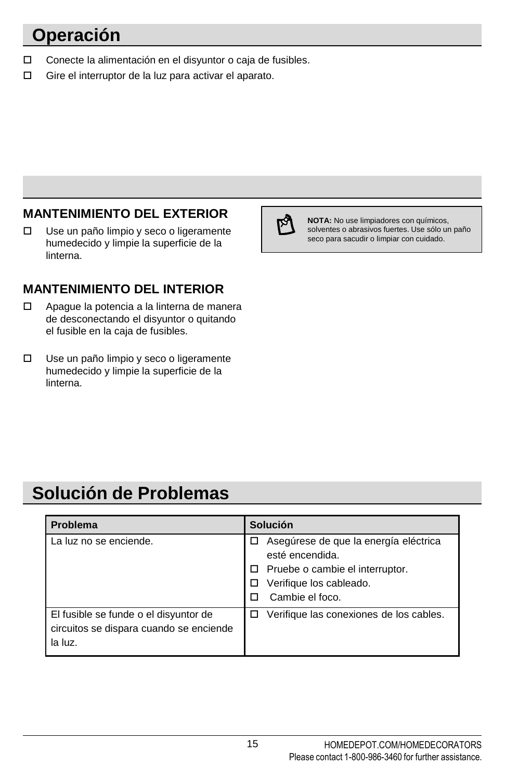## **Operación**

- □ Conecte la alimentación en el disyuntor o caja de fusibles.
- □ Gire el interruptor de la luz para activar el aparato.

#### **MANTENIMIENTO DEL EXTERIOR**

Use un paño limpio y seco o ligeramente humedecido y limpie la superficie de la linterna.

#### **MANTENIMIENTO DEL INTERIOR**

- □ Apague la potencia a la linterna de manera de desconectando el disyuntor o quitando el fusible en la caja de fusibles.
- Use un paño limpio y seco o ligeramente humedecido y limpie la superficie de la linterna.



**NOTA:** No use limpiadores con químicos, solventes o abrasivos fuertes. Use sólo un paño seco para sacudir o limpiar con cuidado.

#### **Solución de Problemas**

| <b>Problema</b>                                                                             | <b>Solución</b>                                                               |
|---------------------------------------------------------------------------------------------|-------------------------------------------------------------------------------|
| La luz no se enciende.                                                                      | Asegúrese de que la energía eléctrica<br>□<br>esté encendida.                 |
|                                                                                             | Pruebe o cambie el interruptor.<br>Verifique los cableado.<br>Cambie el foco. |
| El fusible se funde o el disyuntor de<br>circuitos se dispara cuando se enciende<br>la luz. | Verifique las conexiones de los cables.<br>П                                  |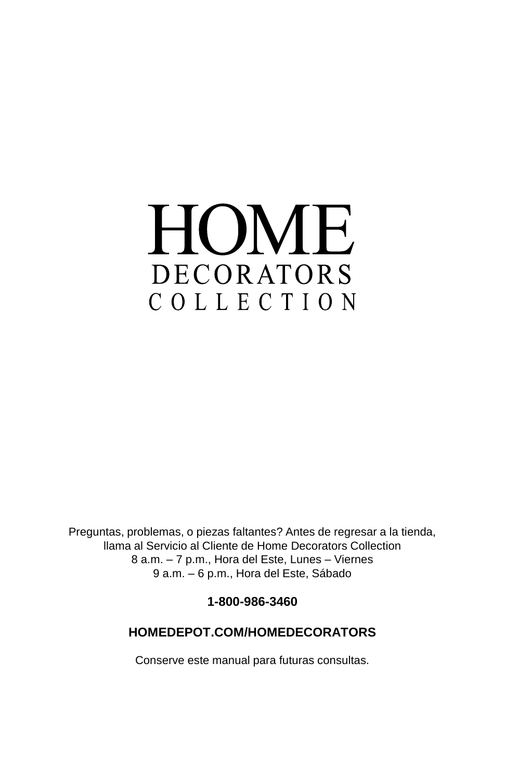# HOME DECORATORS COLLECTION

Preguntas, problemas, o piezas faltantes? Antes de regresar a la tienda, llama al Servicio al Cliente de Home Decorators Collection 8 a.m. – 7 p.m., Hora del Este, Lunes – Viernes 9 a.m. – 6 p.m., Hora del Este, Sábado

**1-800-986-3460**

#### **HOMEDEPOT.COM/HOMEDECORATORS**

Conserve este manual para futuras consultas.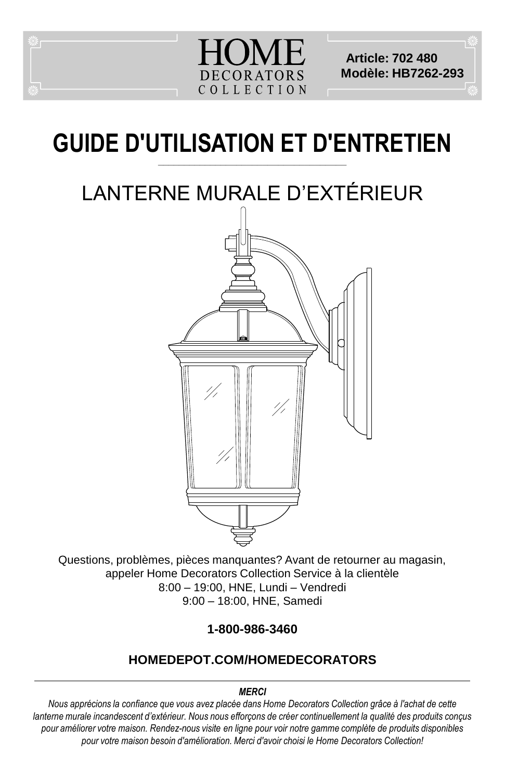

**Article: 702 480 Modèle: HB7262-293**

#### **GUIDE D'UTILISATION ET D'ENTRETIEN \_\_\_\_\_\_\_\_\_\_\_\_\_\_\_\_\_\_\_\_\_\_\_\_\_\_\_\_\_\_\_\_\_\_\_\_**

# LANTERNE MURALE D'EXTÉRIEUR



Questions, problèmes, pièces manquantes? Avant de retourner au magasin, appeler Home Decorators Collection Service à la clientèle 8:00 – 19:00, HNE, Lundi – Vendredi 9:00 – 18:00, HNE, Samedi

**1-800-986-3460**

#### **HOMEDEPOT.COM/HOMEDECORATORS**

#### *MERCI*

*Nous apprécions la confiance que vous avez placée dans Home Decorators Collection grâce à l'achat de cette lanterne murale incandescent d'extérieur. Nous nous efforçons de créer continuellement la qualité des produits conçus pour améliorer votre maison. Rendez-nous visite en ligne pour voir notre gamme complète de produits disponibles pour votre maison besoin d'amélioration. Merci d'avoir choisi le Home Decorators Collection!*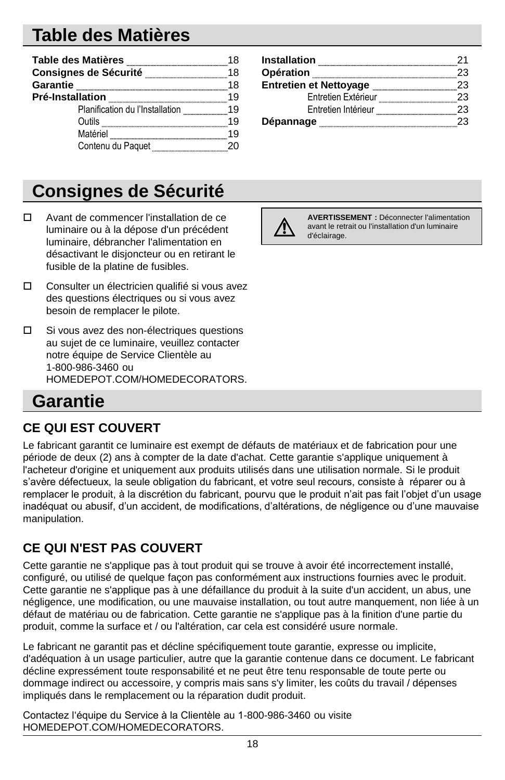### **Table des Matières**

| Table des Matières              |    |
|---------------------------------|----|
| Consignes de Sécurité           | 18 |
| Garantie                        | 18 |
| Pré-Installation                | 10 |
| Planification du l'Installation | 19 |
| Outils                          | 10 |
| Matériel                        | 10 |
| Contenu du Paquet               |    |

# **Consignes de Sécurité**

- Avant de commencer l'installation de ce luminaire ou à la dépose d'un précédent luminaire, débrancher l'alimentation en désactivant le disjoncteur ou en retirant le fusible de la platine de fusibles.
- Consulter un électricien qualifié si vous avez des questions électriques ou si vous avez besoin de remplacer le pilote.
- $\square$  Si vous avez des non-électriques questions au sujet de ce luminaire, veuillez contacter notre équipe de Service Clientèle au 1-800-986-3460 ou HOMEDEPOT.COM/HOMEDECORATORS.

#### **Garantie**

#### **CE QUI EST COUVERT**

Le fabricant garantit ce luminaire est exempt de défauts de matériaux et de fabrication pour une période de deux (2) ans à compter de la date d'achat. Cette garantie s'applique uniquement à l'acheteur d'origine et uniquement aux produits utilisés dans une utilisation normale. Si le produit s'avère défectueux, la seule obligation du fabricant, et votre seul recours, consiste à réparer ou à remplacer le produit, à la discrétion du fabricant, pourvu que le produit n'ait pas fait l'objet d'un usage inadéquat ou abusif, d'un accident, de modifications, d'altérations, de négligence ou d'une mauvaise manipulation.

#### **CE QUI N'EST PAS COUVERT**

Cette garantie ne s'applique pas à tout produit qui se trouve à avoir été incorrectement installé, configuré, ou utilisé de quelque façon pas conformément aux instructions fournies avec le produit. Cette garantie ne s'applique pas à une défaillance du produit à la suite d'un accident, un abus, une négligence, une modification, ou une mauvaise installation, ou tout autre manquement, non liée à un défaut de matériau ou de fabrication. Cette garantie ne s'applique pas à la finition d'une partie du produit, comme la surface et / ou l'altération, car cela est considéré usure normale.

Le fabricant ne garantit pas et décline spécifiquement toute garantie, expresse ou implicite, d'adéquation à un usage particulier, autre que la garantie contenue dans ce document. Le fabricant décline expressément toute responsabilité et ne peut être tenu responsable de toute perte ou dommage indirect ou accessoire, y compris mais sans s'y limiter, les coûts du travail / dépenses impliqués dans le remplacement ou la réparation dudit produit.

Contactez l'équipe du Service à la Clientèle au 1-800-986-3460 ou visite HOMEDEPOT.COM/HOMEDECORATORS.

| Installation                  |      |
|-------------------------------|------|
| Opération                     | -23. |
| <b>Entretien et Nettoyage</b> | 23   |
| Entretien Extérieur           | 23.  |
| Entretien Intérieur           | 23   |
| Dépannage                     | 23.  |



**AVERTISSEMENT :** Déconnecter l'alimentation avant le retrait ou l'installation d'un luminaire d'éclairage.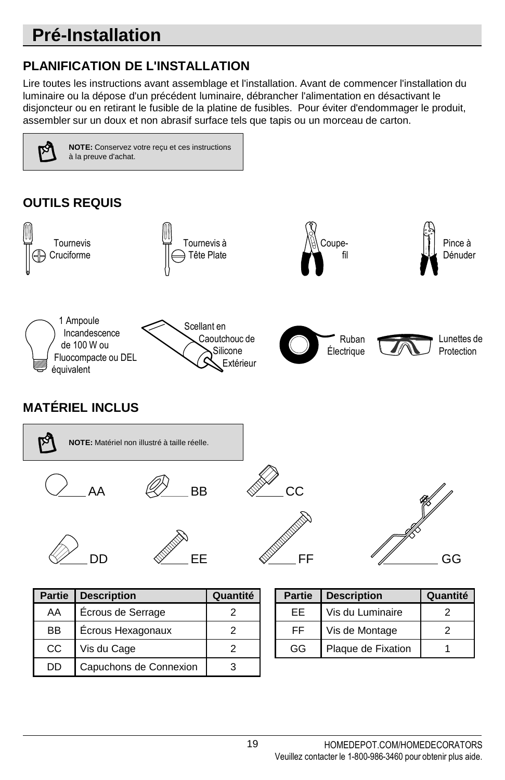# **Pré-Installation**

#### **PLANIFICATION DE L'INSTALLATION**

DD | Capuchons de Connexion | 3

Lire toutes les instructions avant assemblage et l'installation. Avant de commencer l'installation du luminaire ou la dépose d'un précédent luminaire, débrancher l'alimentation en désactivant le disjoncteur ou en retirant le fusible de la platine de fusibles. Pour éviter d'endommager le produit, assembler sur un doux et non abrasif surface tels que tapis ou un morceau de carton.

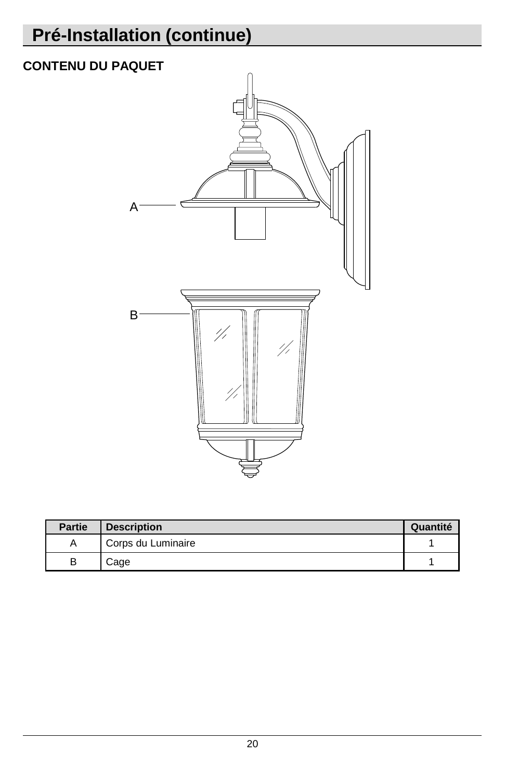# **Pré-Installation (continue)**

#### **CONTENU DU PAQUET**



| <b>Partie</b> | <b>Description</b> | Quantité |
|---------------|--------------------|----------|
|               | Corps du Luminaire |          |
|               | Cage               |          |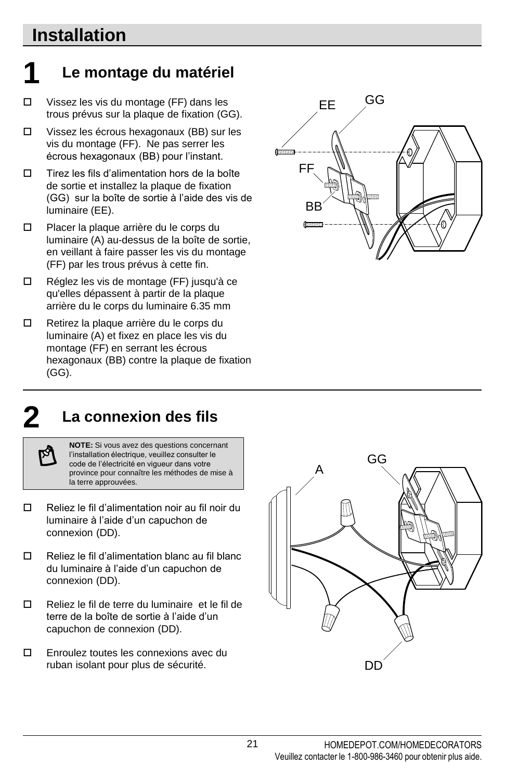#### **Installation**

# **1 Le montage du matériel**

- Vissez les vis du montage (FF) dans les trous prévus sur la plaque de fixation (GG).
- Vissez les écrous hexagonaux (BB) sur les vis du montage (FF). Ne pas serrer les écrous hexagonaux (BB) pour l'instant.
- $\square$  Tirez les fils d'alimentation hors de la boîte de sortie et installez la plaque de fixation (GG) sur la boîte de sortie à l'aide des vis de luminaire (EE).
- □ Placer la plaque arrière du le corps du luminaire (A) au-dessus de la boîte de sortie, en veillant à faire passer les vis du montage (FF) par les trous prévus à cette fin.
- Réglez les vis de montage (FF) jusqu'à ce qu'elles dépassent à partir de la plaque arrière du le corps du luminaire 6.35 mm
- Retirez la plaque arrière du le corps du luminaire (A) et fixez en place les vis du montage (FF) en serrant les écrous hexagonaux (BB) contre la plaque de fixation (GG).



#### **2 La connexion des fils**

**NOTE:** Si vous avez des questions concernant l'installation électrique, veuillez consulter le code de l'électricité en vigueur dans votre province pour connaître les méthodes de mise à la terre approuvées.

- Reliez le fil d'alimentation noir au fil noir du luminaire à l'aide d'un capuchon de connexion (DD).
- $\Box$  Reliez le fil d'alimentation blanc au fil blanc du luminaire à l'aide d'un capuchon de connexion (DD).
- Reliez le fil de terre du luminaire et le fil de terre de la boîte de sortie à l'aide d'un capuchon de connexion (DD).
- Enroulez toutes les connexions avec du ruban isolant pour plus de sécurité.

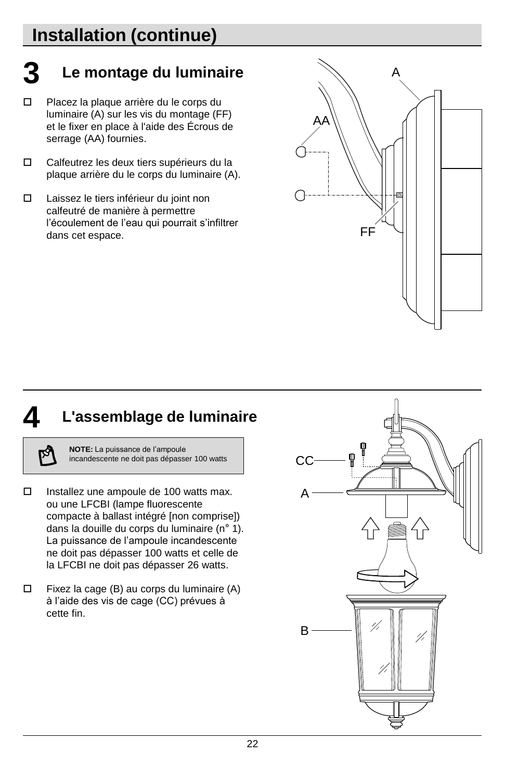# **Installation (continue)**

# **3 Le montage du luminaire**

- Placez la plaque arrière du le corps du luminaire (A) sur les vis du montage (FF) et le fixer en place à l'aide des Écrous de serrage (AA) fournies.
- Calfeutrez les deux tiers supérieurs du la plaque arrière du le corps du luminaire (A).
- Laissez le tiers inférieur du joint non calfeutré de manière à permettre l'écoulement de l'eau qui pourrait s'infiltrer dans cet espace.



#### **4 L'assemblage de luminaire**

**NOTE:** La puissance de l'ampoule incandescente ne doit pas dépasser 100 watts

- $\Box$  Installez une ampoule de 100 watts max. ou une LFCBI (lampe fluorescente compacte à ballast intégré [non comprise]) dans la douille du corps du luminaire (n° 1). La puissance de l'ampoule incandescente ne doit pas dépasser 100 watts et celle de la LFCBI ne doit pas dépasser 26 watts.
- $\Box$  Fixez la cage (B) au corps du luminaire (A) à l'aide des vis de cage (CC) prévues à cette fin.

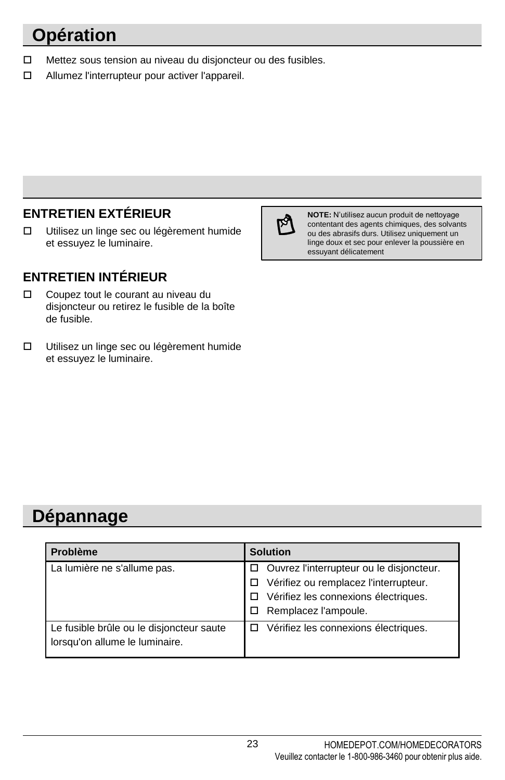# **Opération**

- □ Mettez sous tension au niveau du disjoncteur ou des fusibles.
- Allumez l'interrupteur pour activer l'appareil.

#### **ENTRETIEN EXTÉRIEUR**

 Utilisez un linge sec ou légèrement humide et essuyez le luminaire.

#### **ENTRETIEN INTÉRIEUR**

- Coupez tout le courant au niveau du disjoncteur ou retirez le fusible de la boîte de fusible.
- Utilisez un linge sec ou légèrement humide et essuyez le luminaire.



**NOTE:** N'utilisez aucun produit de nettoyage contentant des agents chimiques, des solvants ou des abrasifs durs. Utilisez uniquement un linge doux et sec pour enlever la poussière en essuyant délicatement

#### **Dépannage**

| <b>Problème</b>                                                            | <b>Solution</b>                                                                                                                                     |
|----------------------------------------------------------------------------|-----------------------------------------------------------------------------------------------------------------------------------------------------|
| La lumière ne s'allume pas.                                                | □ Ouvrez l'interrupteur ou le disjoncteur.<br>Vérifiez ou remplacez l'interrupteur.<br>Vérifiez les connexions électriques.<br>Remplacez l'ampoule. |
| Le fusible brûle ou le disjoncteur saute<br>lorsqu'on allume le luminaire. | Vérifiez les connexions électriques.<br>п                                                                                                           |